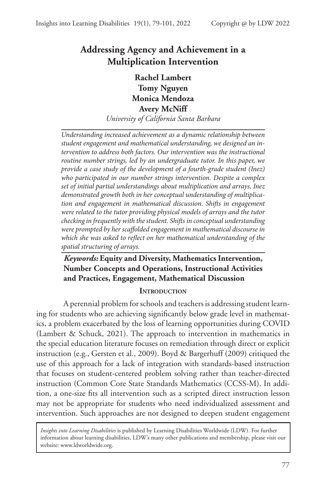# **Addressing Agency and Achievement in a Multiplication Intervention**

# **Rachel Lambert Tomy Nguyen Monica Mendoza Avery McNiff**

*University of California Santa Barbara*

*Understanding increased achievement as a dynamic relationship between student engagement and mathematical understanding, we designed an intervention to address both factors. Our intervention was the instructional routine number strings, led by an undergraduate tutor. In this paper, we provide a case study of the development of a fourth-grade student (Inez) who participated in our number strings intervention. Despite a complex set of initial partial understandings about multiplication and arrays, Inez demonstrated growth both in her conceptual understanding of multiplication and engagement in mathematical discussion. Shifts in engagement were related to the tutor providing physical models of arrays and the tutor checking in frequently with the student. Shifts in conceptual understanding were prompted by her scaffolded engagement in mathematical discourse in which she was asked to reflect on her mathematical understanding of the spatial structuring of arrays.* 

# *Keywords:* **Equity and Diversity, Mathematics Intervention, Number Concepts and Operations, Instructional Activities and Practices, Engagement, Mathematical Discussion**

#### **INTRODUCTION**

A perennial problem for schools and teachers is addressing student learning for students who are achieving significantly below grade level in mathematics, a problem exacerbated by the loss of learning opportunities during COVID (Lambert & Schuck, 2021). The approach to intervention in mathematics in the special education literature focuses on remediation through direct or explicit instruction (e.g., Gersten et al., 2009). Boyd & Bargerhuff (2009) critiqued the use of this approach for a lack of integration with standards-based instruction that focuses on student-centered problem solving rather than teacher-directed instruction (Common Core State Standards Mathematics (CCSS-M). In addition, a one-size fits all intervention such as a scripted direct instruction lesson may not be appropriate for students who need individualized assessment and intervention. Such approaches are not designed to deepen student engagement

*Insights into Learning Disabilities* is published by Learning Disabilities Worldwide (LDW). For further information about learning disabilities, LDW's many other publications and membership, please visit our website: www.ldworldwide.org.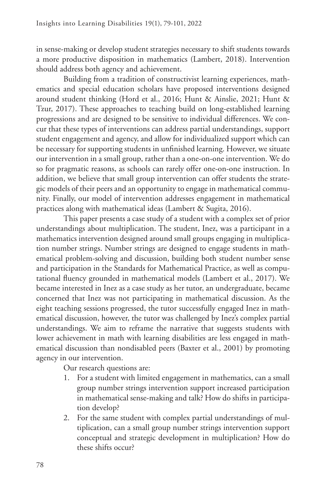in sense-making or develop student strategies necessary to shift students towards a more productive disposition in mathematics (Lambert, 2018). Intervention should address both agency and achievement.

Building from a tradition of constructivist learning experiences, mathematics and special education scholars have proposed interventions designed around student thinking (Hord et al., 2016; Hunt & Ainslie, 2021; Hunt & Tzur, 2017). These approaches to teaching build on long-established learning progressions and are designed to be sensitive to individual differences. We concur that these types of interventions can address partial understandings, support student engagement and agency, and allow for individualized support which can be necessary for supporting students in unfinished learning. However, we situate our intervention in a small group, rather than a one-on-one intervention. We do so for pragmatic reasons, as schools can rarely offer one-on-one instruction. In addition, we believe that small group intervention can offer students the strategic models of their peers and an opportunity to engage in mathematical community. Finally, our model of intervention addresses engagement in mathematical practices along with mathematical ideas (Lambert & Sugita, 2016).

This paper presents a case study of a student with a complex set of prior understandings about multiplication. The student, Inez, was a participant in a mathematics intervention designed around small groups engaging in multiplication number strings. Number strings are designed to engage students in mathematical problem-solving and discussion, building both student number sense and participation in the Standards for Mathematical Practice, as well as computational fluency grounded in mathematical models (Lambert et al., 2017). We became interested in Inez as a case study as her tutor, an undergraduate, became concerned that Inez was not participating in mathematical discussion. As the eight teaching sessions progressed, the tutor successfully engaged Inez in mathematical discussion, however, the tutor was challenged by Inez's complex partial understandings. We aim to reframe the narrative that suggests students with lower achievement in math with learning disabilities are less engaged in mathematical discussion than nondisabled peers (Baxter et al., 2001) by promoting agency in our intervention.

Our research questions are:

- 1. For a student with limited engagement in mathematics, can a small group number strings intervention support increased participation in mathematical sense-making and talk? How do shifts in participation develop?
- 2. For the same student with complex partial understandings of multiplication, can a small group number strings intervention support conceptual and strategic development in multiplication? How do these shifts occur?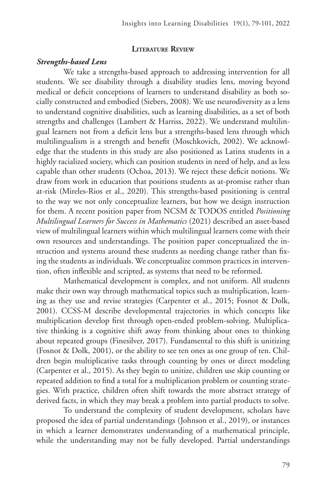#### **Literature Review**

#### *Strengths-based Lens*

We take a strengths-based approach to addressing intervention for all students. We see disability through a disability studies lens, moving beyond medical or deficit conceptions of learners to understand disability as both socially constructed and embodied (Siebers, 2008). We use neurodiversity as a lens to understand cognitive disabilities, such as learning disabilities, as a set of both strengths and challenges (Lambert & Harriss, 2022). We understand multilingual learners not from a deficit lens but a strengths-based lens through which multilingualism is a strength and benefit (Moschkovich, 2002). We acknowledge that the students in this study are also positioned as Latinx students in a highly racialized society, which can position students in need of help, and as less capable than other students (Ochoa, 2013). We reject these deficit notions. We draw from work in education that positions students as at-promise rather than at-risk (Mireles-Rios et al., 2020). This strengths-based positioning is central to the way we not only conceptualize learners, but how we design instruction for them. A recent position paper from NCSM & TODOS entitled *Positioning Multilingual Learners for Success in Mathematics* (2021) described an asset-based view of multilingual learners within which multilingual learners come with their own resources and understandings. The position paper conceptualized the instruction and systems around these students as needing change rather than fixing the students as individuals. We conceptualize common practices in intervention, often inflexible and scripted, as systems that need to be reformed.

Mathematical development is complex, and not uniform. All students make their own way through mathematical topics such as multiplication, learning as they use and revise strategies (Carpenter et al., 2015; Fosnot & Dolk, 2001). CCSS-M describe developmental trajectories in which concepts like multiplication develop first through open-ended problem-solving. Multiplicative thinking is a cognitive shift away from thinking about ones to thinking about repeated groups (Finesilver, 2017). Fundamental to this shift is unitizing (Fosnot & Dolk, 2001), or the ability to see ten ones as one group of ten. Children begin multiplicative tasks through counting by ones or direct modeling (Carpenter et al., 2015). As they begin to unitize, children use skip counting or repeated addition to find a total for a multiplication problem or counting strategies. With practice, children often shift towards the more abstract strategy of derived facts, in which they may break a problem into partial products to solve.

To understand the complexity of student development, scholars have proposed the idea of partial understandings (Johnson et al., 2019), or instances in which a learner demonstrates understanding of a mathematical principle, while the understanding may not be fully developed. Partial understandings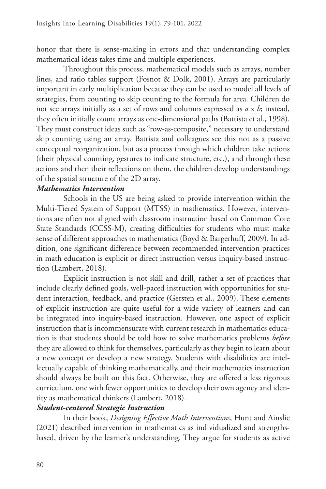honor that there is sense-making in errors and that understanding complex mathematical ideas takes time and multiple experiences.

Throughout this process, mathematical models such as arrays, number lines, and ratio tables support (Fosnot & Dolk, 2001). Arrays are particularly important in early multiplication because they can be used to model all levels of strategies, from counting to skip counting to the formula for area. Children do not see arrays initially as a set of rows and columns expressed as *a* x *b*; instead, they often initially count arrays as one-dimensional paths (Battista et al., 1998). They must construct ideas such as "row-as-composite," necessary to understand skip counting using an array. Battista and colleagues see this not as a passive conceptual reorganization, but as a process through which children take actions (their physical counting, gestures to indicate structure, etc.), and through these actions and then their reflections on them, the children develop understandings of the spatial structure of the 2D array.

#### *Mathematics Intervention*

Schools in the US are being asked to provide intervention within the Multi-Tiered System of Support (MTSS) in mathematics. However, interventions are often not aligned with classroom instruction based on Common Core State Standards (CCSS-M), creating difficulties for students who must make sense of different approaches to mathematics (Boyd & Bargerhuff, 2009). In addition, one significant difference between recommended intervention practices in math education is explicit or direct instruction versus inquiry-based instruction (Lambert, 2018).

Explicit instruction is not skill and drill, rather a set of practices that include clearly defined goals, well-paced instruction with opportunities for student interaction, feedback, and practice (Gersten et al., 2009). These elements of explicit instruction are quite useful for a wide variety of learners and can be integrated into inquiry-based instruction. However, one aspect of explicit instruction that is incommensurate with current research in mathematics education is that students should be told how to solve mathematics problems *before* they are allowed to think for themselves, particularly as they begin to learn about a new concept or develop a new strategy. Students with disabilities are intellectually capable of thinking mathematically, and their mathematics instruction should always be built on this fact. Otherwise, they are offered a less rigorous curriculum, one with fewer opportunities to develop their own agency and identity as mathematical thinkers (Lambert, 2018).

#### *Student-centered Strategic Instruction*

In their book, *Designing Effective Math Interventions*, Hunt and Ainslie (2021) described intervention in mathematics as individualized and strengthsbased, driven by the learner's understanding. They argue for students as active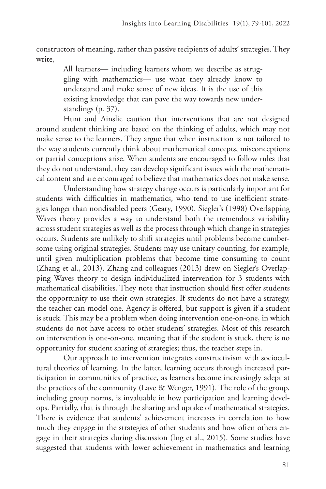constructors of meaning, rather than passive recipients of adults' strategies. They write,

> All learners— including learners whom we describe as struggling with mathematics— use what they already know to understand and make sense of new ideas. It is the use of this existing knowledge that can pave the way towards new understandings (p. 37).

Hunt and Ainslie caution that interventions that are not designed around student thinking are based on the thinking of adults, which may not make sense to the learners. They argue that when instruction is not tailored to the way students currently think about mathematical concepts, misconceptions or partial conceptions arise. When students are encouraged to follow rules that they do not understand, they can develop significant issues with the mathematical content and are encouraged to believe that mathematics does not make sense.

Understanding how strategy change occurs is particularly important for students with difficulties in mathematics, who tend to use inefficient strategies longer than nondisabled peers (Geary, 1990). Siegler's (1998) Overlapping Waves theory provides a way to understand both the tremendous variability across student strategies as well as the process through which change in strategies occurs. Students are unlikely to shift strategies until problems become cumbersome using original strategies. Students may use unitary counting, for example, until given multiplication problems that become time consuming to count (Zhang et al., 2013). Zhang and colleagues (2013) drew on Siegler's Overlapping Waves theory to design individualized intervention for 3 students with mathematical disabilities. They note that instruction should first offer students the opportunity to use their own strategies. If students do not have a strategy, the teacher can model one. Agency is offered, but support is given if a student is stuck. This may be a problem when doing intervention one-on-one, in which students do not have access to other students' strategies. Most of this research on intervention is one-on-one, meaning that if the student is stuck, there is no opportunity for student sharing of strategies; thus, the teacher steps in.

Our approach to intervention integrates constructivism with sociocultural theories of learning. In the latter, learning occurs through increased participation in communities of practice, as learners become increasingly adept at the practices of the community (Lave & Wenger, 1991). The role of the group, including group norms, is invaluable in how participation and learning develops. Partially, that is through the sharing and uptake of mathematical strategies. There is evidence that students' achievement increases in correlation to how much they engage in the strategies of other students and how often others engage in their strategies during discussion (Ing et al., 2015). Some studies have suggested that students with lower achievement in mathematics and learning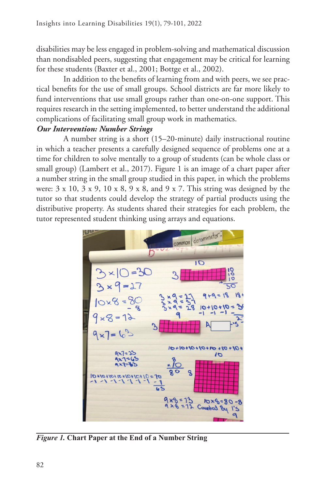disabilities may be less engaged in problem-solving and mathematical discussion than nondisabled peers, suggesting that engagement may be critical for learning for these students (Baxter et al., 2001; Bottge et al., 2002).

In addition to the benefits of learning from and with peers, we see practical benefits for the use of small groups. School districts are far more likely to fund interventions that use small groups rather than one-on-one support. This requires research in the setting implemented, to better understand the additional complications of facilitating small group work in mathematics.

## *Our Intervention: Number Strings*

A number string is a short (15–20-minute) daily instructional routine in which a teacher presents a carefully designed sequence of problems one at a time for children to solve mentally to a group of students (can be whole class or small group) (Lambert et al., 2017). Figure 1 is an image of a chart paper after a number string in the small group studied in this paper, in which the problems were: 3 x 10, 3 x 9, 10 x 8, 9 x 8, and 9 x 7. This string was designed by the tutor so that students could develop the strategy of partial products using the distributive property. As students shared their strategies for each problem, the tutor represented student thinking using arrays and equations.



*Figure 1.* **Chart Paper at the End of a Number String**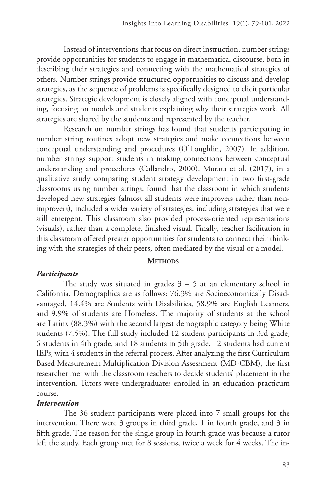Instead of interventions that focus on direct instruction, number strings provide opportunities for students to engage in mathematical discourse, both in describing their strategies and connecting with the mathematical strategies of others. Number strings provide structured opportunities to discuss and develop strategies, as the sequence of problems is specifically designed to elicit particular strategies. Strategic development is closely aligned with conceptual understanding, focusing on models and students explaining why their strategies work. All strategies are shared by the students and represented by the teacher.

Research on number strings has found that students participating in number string routines adopt new strategies and make connections between conceptual understanding and procedures (O'Loughlin, 2007). In addition, number strings support students in making connections between conceptual understanding and procedures (Callandro, 2000). Murata et al. (2017), in a qualitative study comparing student strategy development in two first-grade classrooms using number strings, found that the classroom in which students developed new strategies (almost all students were improvers rather than nonimprovers), included a wider variety of strategies, including strategies that were still emergent. This classroom also provided process-oriented representations (visuals), rather than a complete, finished visual. Finally, teacher facilitation in this classroom offered greater opportunities for students to connect their thinking with the strategies of their peers, often mediated by the visual or a model.

#### **METHODS**

#### *Participants*

The study was situated in grades  $3 - 5$  at an elementary school in California. Demographics are as follows: 76.3% are Socioeconomically Disadvantaged, 14.4% are Students with Disabilities, 58.9% are English Learners, and 9.9% of students are Homeless. The majority of students at the school are Latinx (88.3%) with the second largest demographic category being White students (7.5%). The full study included 12 student participants in 3rd grade, 6 students in 4th grade, and 18 students in 5th grade. 12 students had current IEPs, with 4 students in the referral process. After analyzing the first Curriculum Based Measurement Multiplication Division Assessment **(**MD-CBM), the first researcher met with the classroom teachers to decide students' placement in the intervention. Tutors were undergraduates enrolled in an education practicum course.

#### *Intervention*

The 36 student participants were placed into 7 small groups for the intervention. There were 3 groups in third grade, 1 in fourth grade, and 3 in fifth grade. The reason for the single group in fourth grade was because a tutor left the study. Each group met for 8 sessions, twice a week for 4 weeks. The in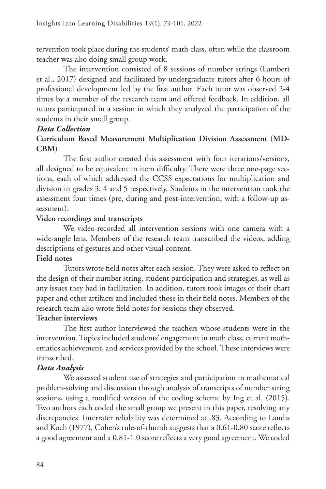tervention took place during the students' math class, often while the classroom teacher was also doing small group work.

The intervention consisted of 8 sessions of number strings (Lambert et al., 2017) designed and facilitated by undergraduate tutors after 6 hours of professional development led by the first author. Each tutor was observed 2-4 times by a member of the research team and offered feedback. In addition, all tutors participated in a session in which they analyzed the participation of the students in their small group.

## *Data Collection*

# **Curriculum Based Measurement Multiplication Division Assessment (MD-CBM)**

The first author created this assessment with four iterations/versions, all designed to be equivalent in item difficulty. There were three one-page sections, each of which addressed the CCSS expectations for multiplication and division in grades 3, 4 and 5 respectively. Students in the intervention took the assessment four times (pre, during and post-intervention, with a follow-up assessment).

# **Video recordings and transcripts**

We video-recorded all intervention sessions with one camera with a wide-angle lens. Members of the research team transcribed the videos, adding descriptions of gestures and other visual content.

## **Field notes**

Tutors wrote field notes after each session. They were asked to reflect on the design of their number string, student participation and strategies, as well as any issues they had in facilitation. In addition, tutors took images of their chart paper and other artifacts and included those in their field notes. Members of the research team also wrote field notes for sessions they observed.

## **Teacher interviews**

The first author interviewed the teachers whose students were in the intervention. Topics included students' engagement in math class, current mathematics achievement, and services provided by the school. These interviews were transcribed.

# *Data Analysis*

We assessed student use of strategies and participation in mathematical problem-solving and discussion through analysis of transcripts of number string sessions, using a modified version of the coding scheme by Ing et al. (2015). Two authors each coded the small group we present in this paper, resolving any discrepancies. Interrater reliability was determined at .83. According to Landis and Koch (1977), Cohen's rule-of-thumb suggests that a 0.61-0.80 score reflects a good agreement and a 0.81-1.0 score reflects a very good agreement. We coded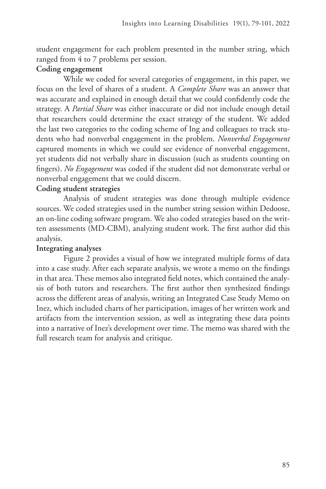student engagement for each problem presented in the number string, which ranged from 4 to 7 problems per session.

# **Coding engagement**

While we coded for several categories of engagement, in this paper, we focus on the level of shares of a student. A *Complete Share* was an answer that was accurate and explained in enough detail that we could confidently code the strategy. A *Partial Share* was either inaccurate or did not include enough detail that researchers could determine the exact strategy of the student. We added the last two categories to the coding scheme of Ing and colleagues to track students who had nonverbal engagement in the problem. *Nonverbal Engagement* captured moments in which we could see evidence of nonverbal engagement, yet students did not verbally share in discussion (such as students counting on fingers). *No Engagement* was coded if the student did not demonstrate verbal or nonverbal engagement that we could discern.

# **Coding student strategies**

Analysis of student strategies was done through multiple evidence sources. We coded strategies used in the number string session within Dedoose, an on-line coding software program. We also coded strategies based on the written assessments (MD-CBM), analyzing student work. The first author did this analysis.

## **Integrating analyses**

Figure 2 provides a visual of how we integrated multiple forms of data into a case study. After each separate analysis, we wrote a memo on the findings in that area. These memos also integrated field notes, which contained the analysis of both tutors and researchers. The first author then synthesized findings across the different areas of analysis, writing an Integrated Case Study Memo on Inez, which included charts of her participation, images of her written work and artifacts from the intervention session, as well as integrating these data points into a narrative of Inez's development over time. The memo was shared with the full research team for analysis and critique.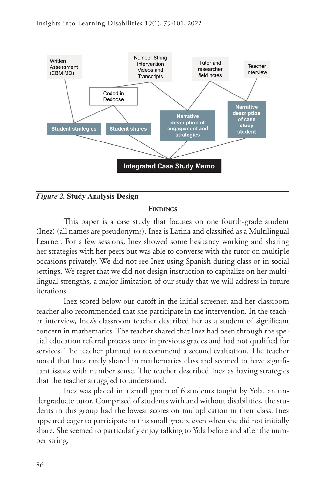

#### *Figure 2.* **Study Analysis Design**

#### **FINDINGS**

This paper is a case study that focuses on one fourth-grade student (Inez) (all names are pseudonyms). Inez is Latina and classified as a Multilingual Learner. For a few sessions, Inez showed some hesitancy working and sharing her strategies with her peers but was able to converse with the tutor on multiple occasions privately. We did not see Inez using Spanish during class or in social settings. We regret that we did not design instruction to capitalize on her multilingual strengths, a major limitation of our study that we will address in future iterations.

Inez scored below our cutoff in the initial screener, and her classroom teacher also recommended that she participate in the intervention. In the teacher interview, Inez's classroom teacher described her as a student of significant concern in mathematics. The teacher shared that Inez had been through the special education referral process once in previous grades and had not qualified for services. The teacher planned to recommend a second evaluation. The teacher noted that Inez rarely shared in mathematics class and seemed to have significant issues with number sense. The teacher described Inez as having strategies that the teacher struggled to understand.

Inez was placed in a small group of 6 students taught by Yola, an undergraduate tutor. Comprised of students with and without disabilities, the students in this group had the lowest scores on multiplication in their class. Inez appeared eager to participate in this small group, even when she did not initially share. She seemed to particularly enjoy talking to Yola before and after the number string.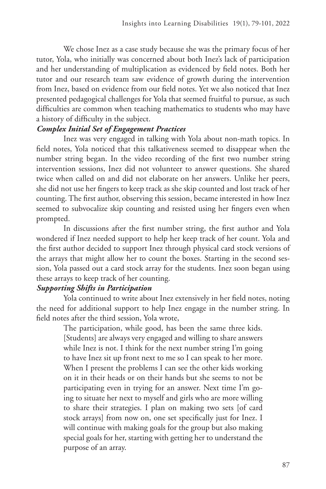We chose Inez as a case study because she was the primary focus of her tutor, Yola, who initially was concerned about both Inez's lack of participation and her understanding of multiplication as evidenced by field notes. Both her tutor and our research team saw evidence of growth during the intervention from Inez, based on evidence from our field notes. Yet we also noticed that Inez presented pedagogical challenges for Yola that seemed fruitful to pursue, as such difficulties are common when teaching mathematics to students who may have a history of difficulty in the subject.

#### *Complex Initial Set of Engagement Practices*

Inez was very engaged in talking with Yola about non-math topics. In field notes, Yola noticed that this talkativeness seemed to disappear when the number string began. In the video recording of the first two number string intervention sessions, Inez did not volunteer to answer questions. She shared twice when called on and did not elaborate on her answers. Unlike her peers, she did not use her fingers to keep track as she skip counted and lost track of her counting. The first author, observing this session, became interested in how Inez seemed to subvocalize skip counting and resisted using her fingers even when prompted.

In discussions after the first number string, the first author and Yola wondered if Inez needed support to help her keep track of her count. Yola and the first author decided to support Inez through physical card stock versions of the arrays that might allow her to count the boxes. Starting in the second session, Yola passed out a card stock array for the students. Inez soon began using these arrays to keep track of her counting.

## *Supporting Shifts in Participation*

Yola continued to write about Inez extensively in her field notes, noting the need for additional support to help Inez engage in the number string. In field notes after the third session, Yola wrote,

> The participation, while good, has been the same three kids. [Students] are always very engaged and willing to share answers while Inez is not. I think for the next number string I'm going to have Inez sit up front next to me so I can speak to her more. When I present the problems I can see the other kids working on it in their heads or on their hands but she seems to not be participating even in trying for an answer. Next time I'm going to situate her next to myself and girls who are more willing to share their strategies. I plan on making two sets [of card stock arrays] from now on, one set specifically just for Inez. I will continue with making goals for the group but also making special goals for her, starting with getting her to understand the purpose of an array.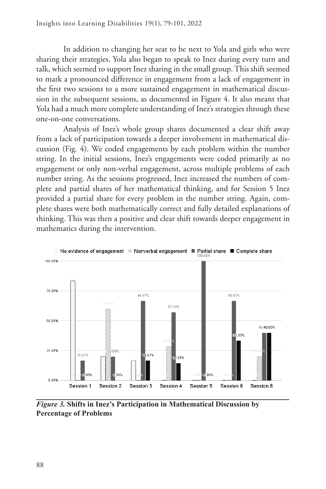In addition to changing her seat to be next to Yola and girls who were sharing their strategies, Yola also began to speak to Inez during every turn and talk, which seemed to support Inez sharing in the small group. This shift seemed to mark a pronounced difference in engagement from a lack of engagement in the first two sessions to a more sustained engagement in mathematical discussion in the subsequent sessions, as documented in Figure 4. It also meant that Yola had a much more complete understanding of Inez's strategies through these one-on-one conversations.

Analysis of Inez's whole group shares documented a clear shift away from a lack of participation towards a deeper involvement in mathematical discussion (Fig. 4). We coded engagements by each problem within the number string. In the initial sessions, Inez's engagements were coded primarily as no engagement or only non-verbal engagement, across multiple problems of each number string. As the sessions progressed, Inez increased the numbers of complete and partial shares of her mathematical thinking, and for Session 5 Inez provided a partial share for every problem in the number string. Again, complete shares were both mathematically correct and fully detailed explanations of thinking. This was then a positive and clear shift towards deeper engagement in mathematics during the intervention.



*Figure 3.* **Shifts in Inez's Participation in Mathematical Discussion by Percentage of Problems**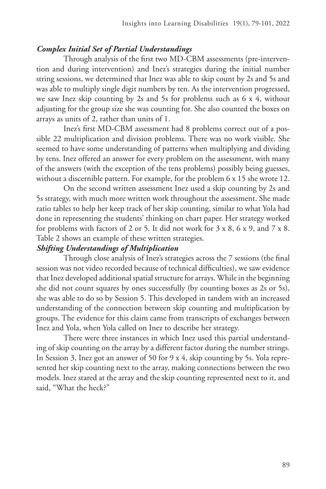## *Complex Initial Set of Partial Understandings*

Through analysis of the first two MD-CBM assessments (pre-intervention and during intervention) and Inez's strategies during the initial number string sessions, we determined that Inez was able to skip count by 2s and 5s and was able to multiply single digit numbers by ten. As the intervention progressed, we saw Inez skip counting by 2s and 5s for problems such as 6 x 4, without adjusting for the group size she was counting for. She also counted the boxes on arrays as units of 2, rather than units of 1.

Inez's first MD-CBM assessment had 8 problems correct out of a possible 22 multiplication and division problems. There was no work visible. She seemed to have some understanding of patterns when multiplying and dividing by tens. Inez offered an answer for every problem on the assessment, with many of the answers (with the exception of the tens problems) possibly being guesses, without a discernible pattern. For example, for the problem 6 x 15 she wrote 12.

On the second written assessment Inez used a skip counting by 2s and 5s strategy, with much more written work throughout the assessment. She made ratio tables to help her keep track of her skip counting, similar to what Yola had done in representing the students' thinking on chart paper. Her strategy worked for problems with factors of 2 or 5. It did not work for 3 x 8, 6 x 9, and 7 x 8. Table 2 shows an example of these written strategies.

## *Shifting Understandings of Multiplication*

Through close analysis of Inez's strategies across the 7 sessions (the final session was not video recorded because of technical difficulties), we saw evidence that Inez developed additional spatial structure for arrays. While in the beginning she did not count squares by ones successfully (by counting boxes as 2s or 5s), she was able to do so by Session 5. This developed in tandem with an increased understanding of the connection between skip counting and multiplication by groups. The evidence for this claim came from transcripts of exchanges between Inez and Yola, when Yola called on Inez to describe her strategy.

There were three instances in which Inez used this partial understanding of skip counting on the array by a different factor during the number strings. In Session 3, Inez got an answer of 50 for 9 x 4, skip counting by 5s. Yola represented her skip counting next to the array, making connections between the two models. Inez stared at the array and the skip counting represented next to it, and said, "What the heck?"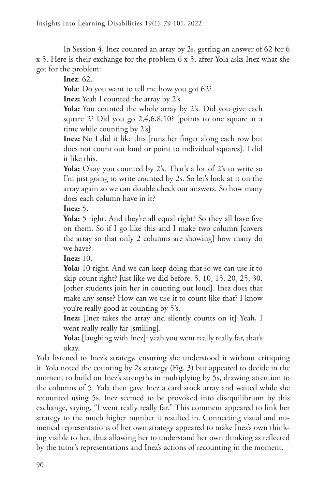In Session 4, Inez counted an array by 2s, getting an answer of 62 for 6 x 5. Here is their exchange for the problem 6 x 5, after Yola asks Inez what she got for the problem:

**Inez**: 62.

**Yola**: Do you want to tell me how you got 62?

**Inez:** Yeah I counted the array by 2's.

**Yola:** You counted the whole array by 2's. Did you give each square 2? Did you go 2,4,6,8,10? [points to one square at a time while counting by 2's]

**Inez:** No I did it like this [runs her finger along each row but does not count out loud or point to individual squares]. I did it like this.

**Yola:** Okay you counted by 2's. That's a lot of 2's to write so I'm just going to write counted by 2s. So let's look at it on the array again so we can double check our answers. So how many does each column have in it?

**Inez:** 5.

**Yola:** 5 right. And they're all equal right? So they all have five on them. So if I go like this and I make two column [covers the array so that only 2 columns are showing] how many do we have?

**Inez:** 10.

**Yola:** 10 right. And we can keep doing that so we can use it to skip count right? Just like we did before. 5, 10, 15, 20, 25, 30. [other students join her in counting out loud]. Inez does that make any sense? How can we use it to count like that? I know you're really good at counting by 5's.

**Inez:** [Inez takes the array and silently counts on it] Yeah, I went really really far [smiling].

Yola: [laughing with Inez]: yeah you went really really far, that's okay.

Yola listened to Inez's strategy, ensuring she understood it without critiquing it. Yola noted the counting by 2s strategy (Fig. 3) but appeared to decide in the moment to build on Inez's strengths in multiplying by 5s, drawing attention to the columns of 5. Yola then gave Inez a card stock array and waited while she recounted using 5s. Inez seemed to be provoked into disequilibrium by this exchange, saying, "I went really really far." This comment appeared to link her strategy to the much higher number it resulted in. Connecting visual and numerical representations of her own strategy appeared to make Inez's own thinking visible to her, thus allowing her to understand her own thinking as reflected by the tutor's representations and Inez's actions of recounting in the moment.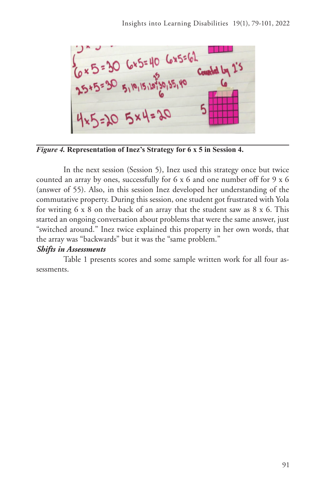$\frac{1}{6}$  x 5 = 30 6x5=40 6x5=62<br>25x5=30 5, 19, 15, 18, 35, 19<br>25x5=30 5, 19, 15, 18, 35, 19

*Figure 4.* **Representation of Inez's Strategy for 6 x 5 in Session 4.** 

In the next session (Session 5), Inez used this strategy once but twice counted an array by ones, successfully for 6 x 6 and one number off for 9 x 6 (answer of 55). Also, in this session Inez developed her understanding of the commutative property. During this session, one student got frustrated with Yola for writing 6 x 8 on the back of an array that the student saw as 8 x 6. This started an ongoing conversation about problems that were the same answer, just "switched around." Inez twice explained this property in her own words, that the array was "backwards" but it was the "same problem."

#### *Shifts in Assessments*

Table 1 presents scores and some sample written work for all four assessments.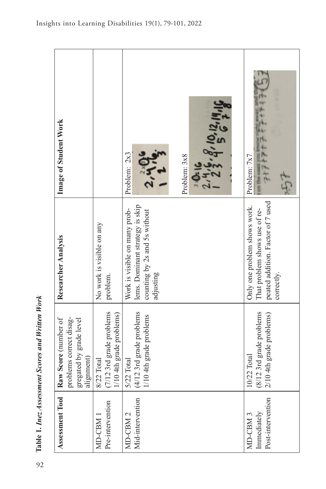| Assessment Tool                                         | Raw Score (number of                                               | Researcher Analysis                                                                                              | Image of Student Work                   |
|---------------------------------------------------------|--------------------------------------------------------------------|------------------------------------------------------------------------------------------------------------------|-----------------------------------------|
|                                                         | oroblems correct disag-<br>gregated by grade level<br>alignment)   |                                                                                                                  |                                         |
| Pre-intervention<br>MD-CBM                              | 7/12 3rd grade problems<br>/10 4th grade problems)<br>8/22 Total   | No work is visible on any<br>problem.                                                                            |                                         |
| Mid-intervention<br>MD-CBM <sub>2</sub>                 | 4/12 3rd grade problems<br>1/10 4th grade problems<br>5/22 Total   | lems. Dominant strategy is skip<br>Work is visible on many prob-<br>counting by 2s and 5s without<br>adjusting   | Problem: 2x3<br>2, 4                    |
|                                                         |                                                                    |                                                                                                                  | 2, 4, 8, 10, 12, 19, 16<br>Problem: 3x8 |
| Post-intervention<br>Immediately<br>MD-CBM <sub>3</sub> | 8/12 3rd grade problems<br>2/10 4th grade problems)<br>10/22 Total | peated addition. Factor of 7 used<br>Only one problem shows work.<br>That problem shows use of re-<br>correctly. | $+2+2+2$<br>Problem: 7x7                |

Table 1. Inez Assessment Scores and Written Work 92**Table 1.** *Inez Assessment Scores and Written Work*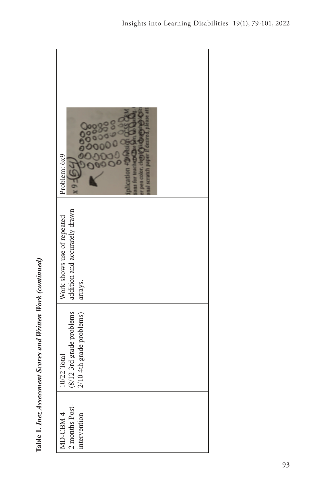| Problem: 6x9<br>64                                                     |
|------------------------------------------------------------------------|
| addition and accurately drawn<br>Work shows use of repeated<br>arrays. |
| (8/12 3rd grade problems<br>2/10 4th grade problems)<br>10/22 Total    |
| MD-CBM 4<br>2 months Post-<br>intervention                             |

Table 1. Inez Assessment Scores and Written Work (continued) **Table 1.** *Inez Assessment Scores and Written Work (continued)*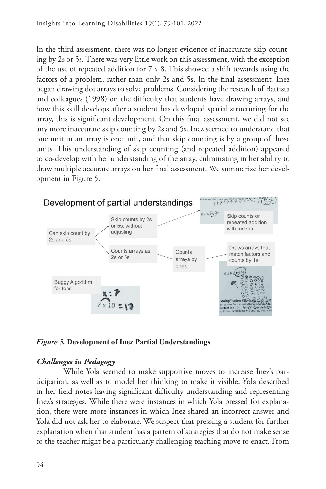In the third assessment, there was no longer evidence of inaccurate skip counting by 2s or 5s. There was very little work on this assessment, with the exception of the use of repeated addition for 7 x 8. This showed a shift towards using the factors of a problem, rather than only 2s and 5s. In the final assessment, Inez began drawing dot arrays to solve problems. Considering the research of Battista and colleagues (1998) on the difficulty that students have drawing arrays, and how this skill develops after a student has developed spatial structuring for the array, this is significant development. On this final assessment, we did not see any more inaccurate skip counting by 2s and 5s. Inez seemed to understand that one unit in an array is one unit, and that skip counting is by a group of those units. This understanding of skip counting (and repeated addition) appeared to co-develop with her understanding of the array, culminating in her ability to draw multiple accurate arrays on her final assessment. We summarize her development in Figure 5.



*Figure 5.* **Development of Inez Partial Understandings**

# *Challenges in Pedagogy*

While Yola seemed to make supportive moves to increase Inez's participation, as well as to model her thinking to make it visible, Yola described in her field notes having significant difficulty understanding and representing Inez's strategies. While there were instances in which Yola pressed for explanation, there were more instances in which Inez shared an incorrect answer and Yola did not ask her to elaborate. We suspect that pressing a student for further explanation when that student has a pattern of strategies that do not make sense to the teacher might be a particularly challenging teaching move to enact. From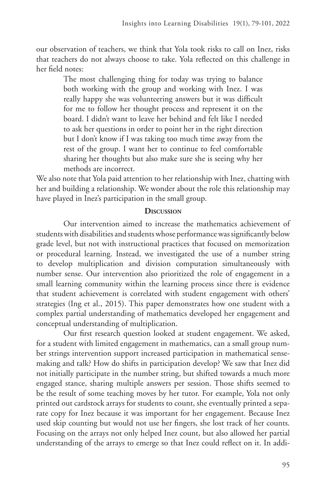our observation of teachers, we think that Yola took risks to call on Inez, risks that teachers do not always choose to take. Yola reflected on this challenge in her field notes:

> The most challenging thing for today was trying to balance both working with the group and working with Inez. I was really happy she was volunteering answers but it was difficult for me to follow her thought process and represent it on the board. I didn't want to leave her behind and felt like I needed to ask her questions in order to point her in the right direction but I don't know if I was taking too much time away from the rest of the group. I want her to continue to feel comfortable sharing her thoughts but also make sure she is seeing why her methods are incorrect.

We also note that Yola paid attention to her relationship with Inez, chatting with her and building a relationship. We wonder about the role this relationship may have played in Inez's participation in the small group.

#### **Discussion**

Our intervention aimed to increase the mathematics achievement of students with disabilities and students whose performance was significantly below grade level, but not with instructional practices that focused on memorization or procedural learning. Instead, we investigated the use of a number string to develop multiplication and division computation simultaneously with number sense. Our intervention also prioritized the role of engagement in a small learning community within the learning process since there is evidence that student achievement is correlated with student engagement with others' strategies (Ing et al., 2015). This paper demonstrates how one student with a complex partial understanding of mathematics developed her engagement and conceptual understanding of multiplication.

Our first research question looked at student engagement. We asked, for a student with limited engagement in mathematics, can a small group number strings intervention support increased participation in mathematical sensemaking and talk? How do shifts in participation develop? We saw that Inez did not initially participate in the number string, but shifted towards a much more engaged stance, sharing multiple answers per session. Those shifts seemed to be the result of some teaching moves by her tutor. For example, Yola not only printed out cardstock arrays for students to count, she eventually printed a separate copy for Inez because it was important for her engagement. Because Inez used skip counting but would not use her fingers, she lost track of her counts. Focusing on the arrays not only helped Inez count, but also allowed her partial understanding of the arrays to emerge so that Inez could reflect on it. In addi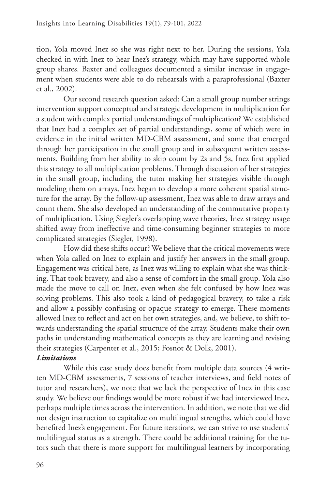tion, Yola moved Inez so she was right next to her. During the sessions, Yola checked in with Inez to hear Inez's strategy, which may have supported whole group shares. Baxter and colleagues documented a similar increase in engagement when students were able to do rehearsals with a paraprofessional (Baxter et al., 2002).

Our second research question asked: Can a small group number strings intervention support conceptual and strategic development in multiplication for a student with complex partial understandings of multiplication? We established that Inez had a complex set of partial understandings, some of which were in evidence in the initial written MD-CBM assessment, and some that emerged through her participation in the small group and in subsequent written assessments. Building from her ability to skip count by 2s and 5s, Inez first applied this strategy to all multiplication problems. Through discussion of her strategies in the small group, including the tutor making her strategies visible through modeling them on arrays, Inez began to develop a more coherent spatial structure for the array. By the follow-up assessment, Inez was able to draw arrays and count them. She also developed an understanding of the commutative property of multiplication. Using Siegler's overlapping wave theories, Inez strategy usage shifted away from ineffective and time-consuming beginner strategies to more complicated strategies (Siegler, 1998).

How did these shifts occur? We believe that the critical movements were when Yola called on Inez to explain and justify her answers in the small group. Engagement was critical here, as Inez was willing to explain what she was thinking. That took bravery, and also a sense of comfort in the small group. Yola also made the move to call on Inez, even when she felt confused by how Inez was solving problems. This also took a kind of pedagogical bravery, to take a risk and allow a possibly confusing or opaque strategy to emerge. These moments allowed Inez to reflect and act on her own strategies, and, we believe, to shift towards understanding the spatial structure of the array. Students make their own paths in understanding mathematical concepts as they are learning and revising their strategies (Carpenter et al., 2015; Fosnot & Dolk, 2001).

## *Limitations*

While this case study does benefit from multiple data sources (4 written MD-CBM assessments, 7 sessions of teacher interviews, and field notes of tutor and researchers), we note that we lack the perspective of Inez in this case study. We believe our findings would be more robust if we had interviewed Inez, perhaps multiple times across the intervention. In addition, we note that we did not design instruction to capitalize on multilingual strengths, which could have benefited Inez's engagement. For future iterations, we can strive to use students' multilingual status as a strength. There could be additional training for the tutors such that there is more support for multilingual learners by incorporating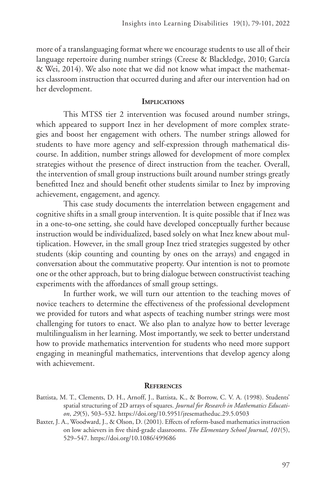more of a translanguaging format where we encourage students to use all of their language repertoire during number strings (Creese & Blackledge, 2010; García & Wei, 2014). We also note that we did not know what impact the mathematics classroom instruction that occurred during and after our intervention had on her development.

#### **IMPLICATIONS**

This MTSS tier 2 intervention was focused around number strings, which appeared to support Inez in her development of more complex strategies and boost her engagement with others. The number strings allowed for students to have more agency and self-expression through mathematical discourse. In addition, number strings allowed for development of more complex strategies without the presence of direct instruction from the teacher. Overall, the intervention of small group instructions built around number strings greatly benefitted Inez and should benefit other students similar to Inez by improving achievement, engagement, and agency.

This case study documents the interrelation between engagement and cognitive shifts in a small group intervention. It is quite possible that if Inez was in a one-to-one setting, she could have developed conceptually further because instruction would be individualized, based solely on what Inez knew about multiplication. However, in the small group Inez tried strategies suggested by other students (skip counting and counting by ones on the arrays) and engaged in conversation about the commutative property. Our intention is not to promote one or the other approach, but to bring dialogue between constructivist teaching experiments with the affordances of small group settings.

In further work, we will turn our attention to the teaching moves of novice teachers to determine the effectiveness of the professional development we provided for tutors and what aspects of teaching number strings were most challenging for tutors to enact. We also plan to analyze how to better leverage multilingualism in her learning. Most importantly, we seek to better understand how to provide mathematics intervention for students who need more support engaging in meaningful mathematics, interventions that develop agency along with achievement.

#### **References**

- Battista, M. T., Clements, D. H., Arnoff, J., Battista, K., & Borrow, C. V. A. (1998). Students' spatial structuring of 2D arrays of squares. *Journal for Research in Mathematics Education*, *29*(5), 503–532. https://doi.org/10.5951/jresematheduc.29.5.0503
- Baxter, J. A., Woodward, J., & Olson, D. (2001). Effects of reform-based mathematics instruction on low achievers in five third-grade classrooms. *The Elementary School Journal*, *101*(5), 529–547. https://doi.org/10.1086/499686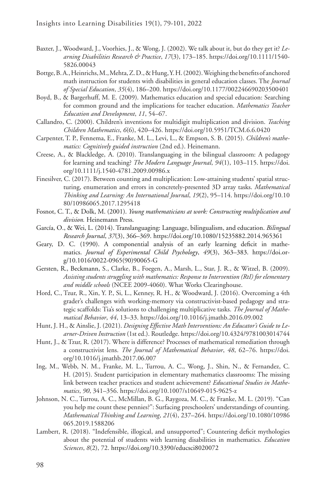- Baxter, J., Woodward, J., Voorhies, J., & Wong, J. (2002). We talk about it, but do they get it? *Learning Disabilities Research & Practice*, *17*(3), 173–185. https://doi.org/10.1111/1540- 5826.00043
- Bottge, B. A., Heinrichs, M., Mehta, Z. D., & Hung, Y. H. (2002). Weighing the benefits of anchored math instruction for students with disabilities in general education classes. The *Journal of Special Education*, *35*(4), 186–200. https://doi.org/10.1177/002246690203500401
- Boyd, B., & Bargerhuff, M. E. (2009). Mathematics education and special education: Searching for common ground and the implications for teacher education. *Mathematics Teacher Education and Development*, *11*, 54–67.
- Callandro, C. (2000). Children's inventions for multidigit multiplication and division. *Teaching Children Mathematics*, *6*(6), 420–426. https://doi.org/10.5951/TCM.6.6.0420
- Carpenter, T. P., Fennema, E., Franke, M. L., Levi, L., & Empson, S. B. (2015). *Children's mathematics: Cognitively guided instruction* (2nd ed.). Heinemann.
- Creese, A., & Blackledge, A. (2010). Translanguaging in the bilingual classroom: A pedagogy for learning and teaching? *The Modern Language Journal*, *94*(1), 103–115. https://doi. org/10.1111/j.1540-4781.2009.00986.x
- Finesilver, C. (2017). Between counting and multiplication: Low-attaining students' spatial structuring, enumeration and errors in concretely-presented 3D array tasks. *Mathematical Thinking and Learning: An International Journal*, *19*(2), 95–114. https://doi.org/10.10 80/10986065.2017.1295418
- Fosnot, C. T., & Dolk, M. (2001). *Young mathematicians at work: Constructing multiplication and division.* Heinemann Press.
- García, O., & Wei, L. (2014). Translanguaging: Language, bilingualism, and education. *Bilingual Research Journal*, *37*(3), 366–369. https://doi.org/10.1080/15235882.2014.965361
- Geary, D. C. (1990). A componential analysis of an early learning deficit in mathematics. *Journal of Experimental Child Psychology*, *49*(3), 363–383. https://doi.org/10.1016/0022-0965(90)90065-G
- Gersten, R., Beckmann, S., Clarke, B., Foegen, A., Marsh, L., Star, J. R., & Witzel, B. (2009). *Assisting students struggling with mathematics: Response to Intervention (RtI) for elementary and middle schools* (NCEE 2009-4060). What Works Clearinghouse.
- Hord, C., Tzur, R., Xin, Y. P., Si, L., Kenney, R. H., & Woodward, J. (2016). Overcoming a 4th grader's challenges with working-memory via constructivist-based pedagogy and strategic scaffolds: Tia's solutions to challenging multiplicative tasks. *The Journal of Mathematical Behavior*, *44*, 13–33. https://doi.org/10.1016/j.jmathb.2016.09.002
- Hunt, J. H., & Ainslie, J. (2021). *Designing Effective Math Interventions: An Educator's Guide to Learner-Driven Instruction* (1st ed.). Routledge. https://doi.org/10.4324/9781003014744
- Hunt, J., & Tzur, R. (2017). Where is difference? Processes of mathematical remediation through a constructivist lens. *The Journal of Mathematical Behavior*, *48*, 62–76. https://doi. org/10.1016/j.jmathb.2017.06.007
- Ing, M., Webb, N. M., Franke, M. L., Turrou, A. C., Wong, J., Shin, N., & Fernandez, C. H. (2015). Student participation in elementary mathematics classrooms: The missing link between teacher practices and student achievement? *Educational Studies in Mathematics*, *90*, 341–356. https://doi.org/10.1007/s10649-015-9625-z
- Johnson, N. C., Turrou, A. C., McMillan, B. G., Raygoza, M. C., & Franke, M. L. (2019). "Can you help me count these pennies?": Surfacing preschoolers' understandings of counting. *Mathematical Thinking and Learning*, *21*(4), 237–264. https://doi.org/10.1080/10986 065.2019.1588206
- Lambert, R. (2018). "Indefensible, illogical, and unsupported"; Countering deficit mythologies about the potential of students with learning disabilities in mathematics. *Education Sciences*, *8*(2), 72. https://doi.org/10.3390/educsci8020072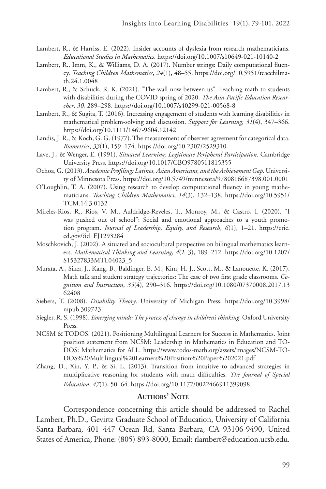- Lambert, R., & Harriss, E. (2022). Insider accounts of dyslexia from research mathematicians. *Educational Studies in Mathematics*. https://doi.org/10.1007/s10649-021-10140-2
- Lambert, R., Imm, K., & Williams, D. A. (2017). Number strings: Daily computational fluency. *Teaching Children Mathematics*, *24*(1), 48–55. https://doi.org/10.5951/teacchilmath.24.1.0048
- Lambert, R., & Schuck, R. K. (2021). "The wall now between us": Teaching math to students with disabilities during the COVID spring of 2020. *The Asia-Pacific Education Researcher*, *30*, 289–298. https://doi.org/10.1007/s40299-021-00568-8
- Lambert, R., & Sugita, T. (2016). Increasing engagement of students with learning disabilities in mathematical problem-solving and discussion. *Support for Learning*, *31*(4), 347–366. https://doi.org/10.1111/1467-9604.12142
- Landis, J. R., & Koch, G. G. (1977). The measurement of observer agreement for categorical data. *Biometrics*, *33*(1), 159–174. https://doi.org/10.2307/2529310
- Lave, J., & Wenger, E. (1991). *Situated Learning: Legitimate Peripheral Participation*. Cambridge University Press. https://doi.org/10.1017/CBO9780511815355
- Ochoa, G. (2013). *Academic Profiling: Latinos, Asian Americans, and the Achievement Gap*. University of Minnesota Press. https://doi.org/10.5749/minnesota/9780816687398.001.0001
- O'Loughlin, T. A. (2007). Using research to develop computational fluency in young mathematicians. *Teaching Children Mathematics*, *14*(3), 132–138. https://doi.org/10.5951/ TCM.14.3.0132
- Mireles-Rios, R., Rios, V. M., Auldridge-Reveles, T., Monroy, M., & Castro, I. (2020). "I was pushed out of school": Social and emotional approaches to a youth promotion program. *Journal of Leadership, Equity, and Research*, *6*(1), 1–21. https://eric. ed.gov/?id=EJ1293284
- Moschkovich, J. (2002). A situated and sociocultural perspective on bilingual mathematics learners. *Mathematical Thinking and Learning*, *4*(2–3), 189–212. https://doi.org/10.1207/ S15327833MTL04023\_5
- Murata, A., Siker, J., Kang, B., Baldinger, E. M., Kim, H. J., Scott, M., & Lanouette, K. (2017). Math talk and student strategy trajectories: The case of two first grade classrooms. *Cognition and Instruction*, *35*(4), 290–316. https://doi.org/10.1080/07370008.2017.13 62408
- Siebers, T. (2008). *Disability Theory*. University of Michigan Press. https://doi.org/10.3998/ mpub.309723
- Siegler, R. S. (1998). *Emerging minds: The process of change in children's thinking*. Oxford University Press.
- NCSM & TODOS. (2021). Positioning Multilingual Learners for Success in Mathematics. Joint position statement from NCSM: Leadership in Mathematics in Education and TO-DOS: Mathematics for ALL. https://www.todos-math.org/assets/images/NCSM-TO-DOS%20Multilingual%20Learners%20Position%20Paper%202021.pdf
- Zhang, D., Xin, Y. P., & Si, L. (2013). Transition from intuitive to advanced strategies in multiplicative reasoning for students with math difficulties. *The Journal of Special Education*, *47*(1), 50–64. https://doi.org/10.1177/0022466911399098

#### **AUTHORS' NOTE**

Correspondence concerning this article should be addressed to Rachel Lambert, Ph.D., Gevirtz Graduate School of Education, University of California Santa Barbara, 401–447 Ocean Rd, Santa Barbara, CA 93106-9490, United States of America, Phone: (805) 893-8000, Email: rlambert@education.ucsb.edu.